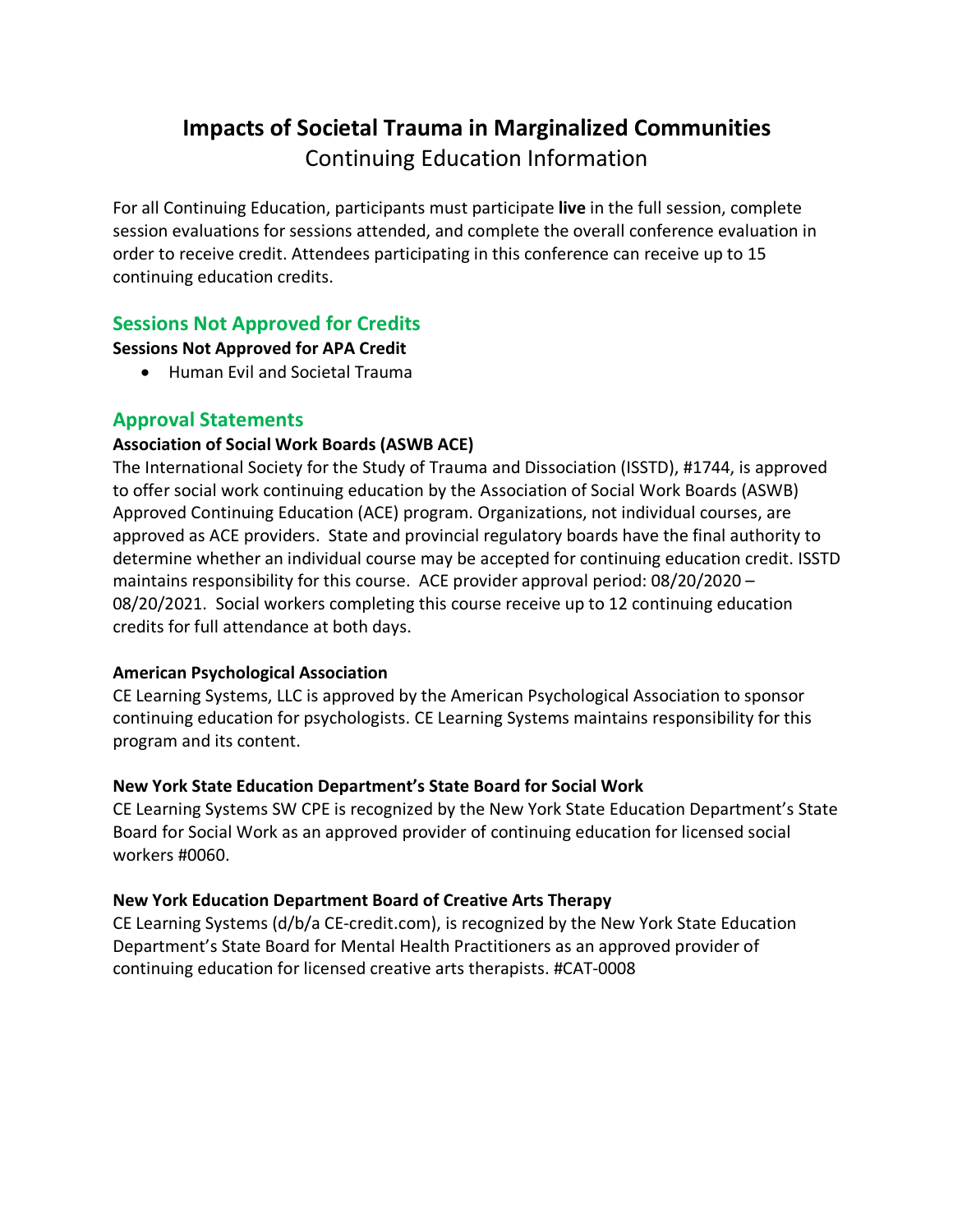# **Impacts of Societal Trauma in Marginalized Communities** Continuing Education Information

For all Continuing Education, participants must participate **live** in the full session, complete session evaluations for sessions attended, and complete the overall conference evaluation in order to receive credit. Attendees participating in this conference can receive up to 15 continuing education credits.

# **Sessions Not Approved for Credits**

**Sessions Not Approved for APA Credit**

• Human Evil and Societal Trauma

## **Approval Statements**

### **Association of Social Work Boards (ASWB ACE)**

The International Society for the Study of Trauma and Dissociation (ISSTD), #1744, is approved to offer social work continuing education by the Association of Social Work Boards (ASWB) Approved Continuing Education (ACE) program. Organizations, not individual courses, are approved as ACE providers. State and provincial regulatory boards have the final authority to determine whether an individual course may be accepted for continuing education credit. ISSTD maintains responsibility for this course. ACE provider approval period: 08/20/2020 – 08/20/2021. Social workers completing this course receive up to 12 continuing education credits for full attendance at both days.

#### **American Psychological Association**

CE Learning Systems, LLC is approved by the American Psychological Association to sponsor continuing education for psychologists. CE Learning Systems maintains responsibility for this program and its content.

## **New York State Education Department's State Board for Social Work**

CE Learning Systems SW CPE is recognized by the New York State Education Department's State Board for Social Work as an approved provider of continuing education for licensed social workers #0060.

#### **New York Education Department Board of Creative Arts Therapy**

CE Learning Systems (d/b/a CE-credit.com), is recognized by the New York State Education Department's State Board for Mental Health Practitioners as an approved provider of continuing education for licensed creative arts therapists. #CAT-0008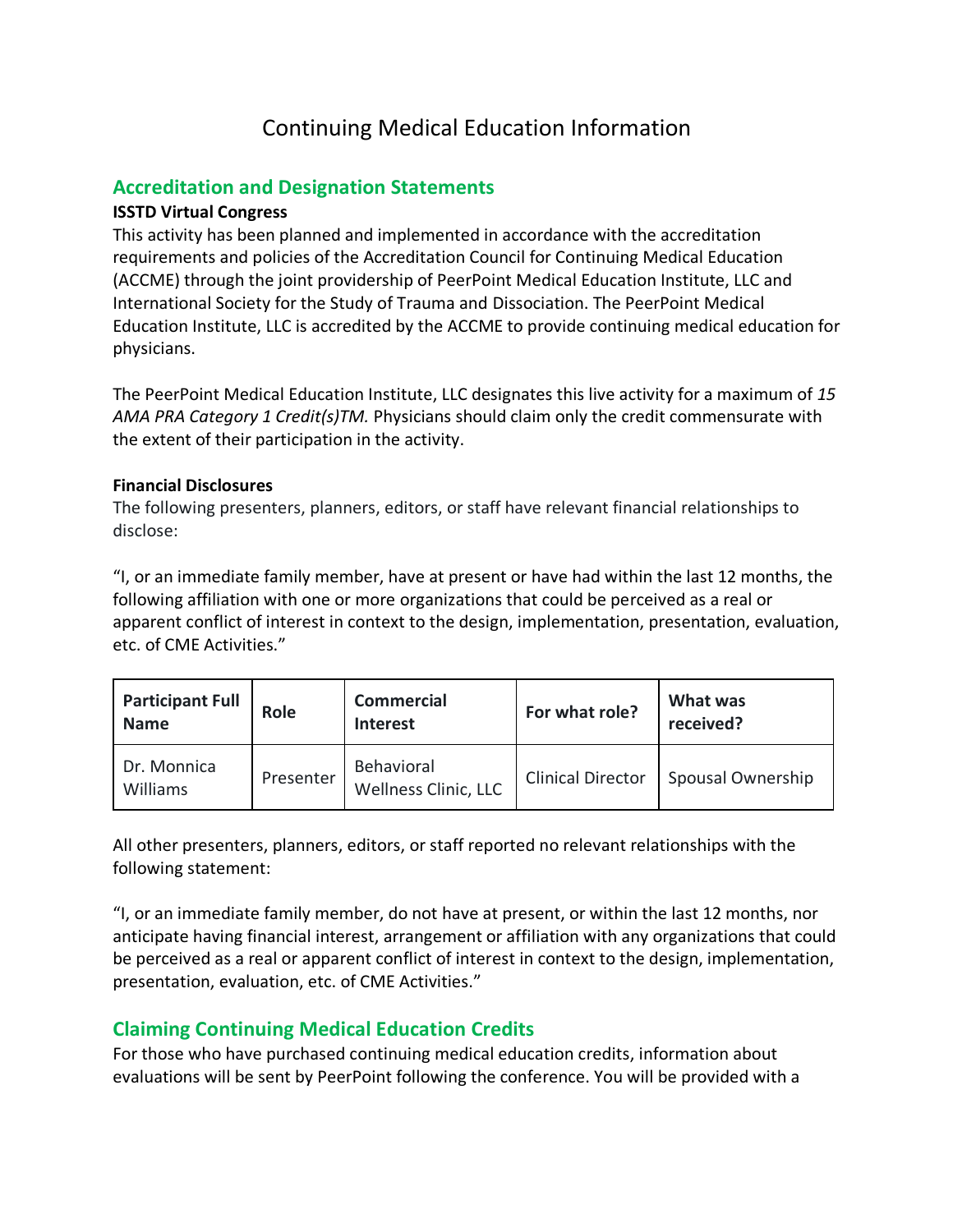# Continuing Medical Education Information

# **Accreditation and Designation Statements**

### **ISSTD Virtual Congress**

This activity has been planned and implemented in accordance with the accreditation requirements and policies of the Accreditation Council for Continuing Medical Education (ACCME) through the joint providership of PeerPoint Medical Education Institute, LLC and International Society for the Study of Trauma and Dissociation. The PeerPoint Medical Education Institute, LLC is accredited by the ACCME to provide continuing medical education for physicians.

The PeerPoint Medical Education Institute, LLC designates this live activity for a maximum of *15 AMA PRA Category 1 Credit(s)TM.* Physicians should claim only the credit commensurate with the extent of their participation in the activity.

#### **Financial Disclosures**

The following presenters, planners, editors, or staff have relevant financial relationships to disclose:

"I, or an immediate family member, have at present or have had within the last 12 months, the following affiliation with one or more organizations that could be perceived as a real or apparent conflict of interest in context to the design, implementation, presentation, evaluation, etc. of CME Activities."

| <b>Participant Full</b><br><b>Name</b> | Role      | <b>Commercial</b><br><b>Interest</b> | For what role?           | What was<br>received? |
|----------------------------------------|-----------|--------------------------------------|--------------------------|-----------------------|
| Dr. Monnica<br>Williams                | Presenter | Behavioral<br>Wellness Clinic, LLC   | <b>Clinical Director</b> | Spousal Ownership     |

All other presenters, planners, editors, or staff reported no relevant relationships with the following statement:

"I, or an immediate family member, do not have at present, or within the last 12 months, nor anticipate having financial interest, arrangement or affiliation with any organizations that could be perceived as a real or apparent conflict of interest in context to the design, implementation, presentation, evaluation, etc. of CME Activities."

# **Claiming Continuing Medical Education Credits**

For those who have purchased continuing medical education credits, information about evaluations will be sent by PeerPoint following the conference. You will be provided with a